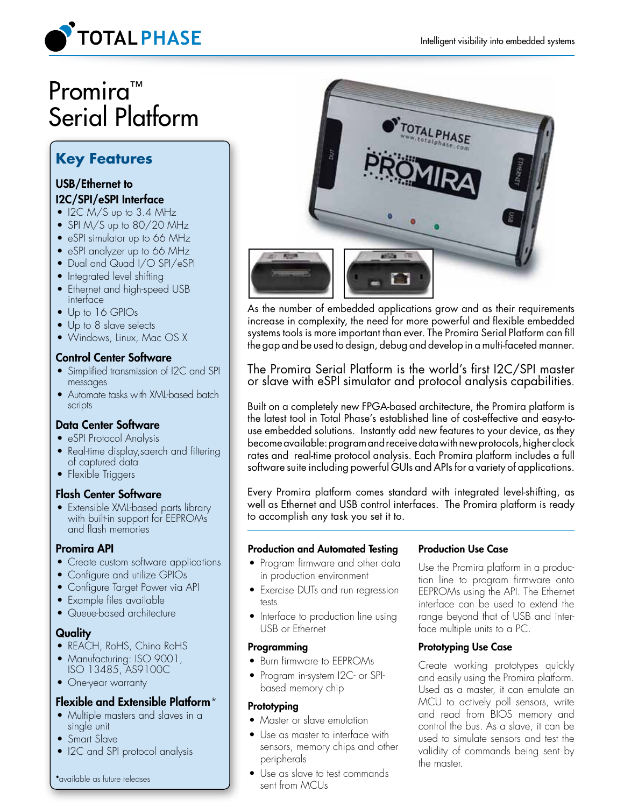

# Promira<sup>™</sup> Serial Platform

# **Key Features**

## USB/Ethernet to I2C/SPI/eSPI Interface

- $\bullet$  I2C M/S up to 3.4 MHz
- SPI M/S up to 80/20 MHz
- eSPI simulator up to 66 MHz
- eSPI analyzer up to 66 MHz
- Dual and Quad I/O SPI/eSPI
- Integrated level shifting
- Ethernet and high-speed USB interface
- Up to 16 GPIOs
- Up to 8 slave selects
- Windows, Linux, Mac OS X

## Control Center Software

- Simplified transmission of I2C and SPI messages
- Automate tasks with XML-based batch scripts

# Data Center Software

- eSPI Protocol Analysis
- Real-time display, saerch and filtering of captured data
- Flexible Triggers

# Flash Center Software

• Extensible XML-based parts library with built-in support for EEPROMs and flash memories

### Promira API

- Create custom software applications
- Configure and utilize GPIOs
- Configure Target Power via API
- Example files available
- Queue-based architecture

# **Quality**

- REACH, RoHS, China RoHS
- Manufacturing: ISO 9001, ISO 13485, AS9100C
- One-year warranty

# Flexible and Extensible Platform\*

- Multiple masters and slaves in a single unit
- Smart Slave
- I2C and SPI protocol analysis



As the number of embedded applications grow and as their requirements increase in complexity, the need for more powerful and flexible embedded systems tools is more important than ever. The Promira Serial Platform can fill the gap and be used to design, debug and develop in a multi-faceted manner.

The Promira Serial Platform is the world's first I2C/SPI master or slave with eSPI simulator and protocol analysis capabilities.

Built on a completely new FPGA-based architecture, the Promira platform is the latest tool in Total Phase's established line of cost-effective and easy-touse embedded solutions. Instantly add new features to your device, as they become available: program and receive data with new protocols, higher clock rates and real-time protocol analysis. Each Promira platform includes a full software suite including powerful GUIs and APIs for a variety of applications.

Every Promira platform comes standard with integrated level-shifting, as well as Ethernet and USB control interfaces. The Promira platform is ready to accomplish any task you set it to.

# Production and Automated Testing

- Program firmware and other data in production environment
- Exercise DUTs and run regression tests
- Interface to production line using USB or Ethernet

# Programming

- • Burn firmware to EEPROMs
- • Program in-system I2C- or SPIbased memory chip

# **Prototyping**

- Master or slave emulation
- Use as master to interface with sensors, memory chips and other peripherals
- Use as slave to test commands sent from MCUs

### Production Use Case

Use the Promira platform in a production line to program firmware onto EEPROMs using the API. The Ethernet interface can be used to extend the range beyond that of USB and interface multiple units to a PC.

# Prototyping Use Case

Create working prototypes quickly and easily using the Promira platform. Used as a master, it can emulate an MCU to actively poll sensors, write and read from BIOS memory and control the bus. As a slave, it can be used to simulate sensors and test the validity of commands being sent by the master.